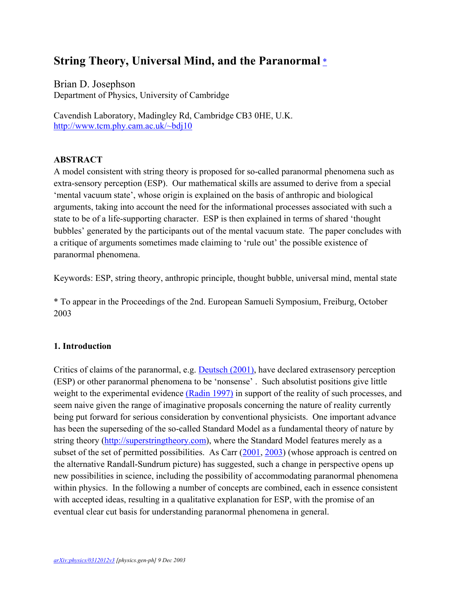# **String Theory, Universal Mind, and the Paranormal** [\\*](#page-0-0)

Brian D. Josephson Department of Physics, University of Cambridge

Cavendish Laboratory, Madingley Rd, Cambridge CB3 0HE, U.K. [http://www.tcm.phy.cam.ac.uk/~bdj10](http://www.tcm.phy.cam.ac.uk/%7Ebdj10)

# **ABSTRACT**

A model consistent with string theory is proposed for so-called paranormal phenomena such as extra-sensory perception (ESP). Our mathematical skills are assumed to derive from a special 'mental vacuum state', whose origin is explained on the basis of anthropic and biological arguments, taking into account the need for the informational processes associated with such a state to be of a life-supporting character. ESP is then explained in terms of shared 'thought bubbles' generated by the participants out of the mental vacuum state. The paper concludes with a critique of arguments sometimes made claiming to 'rule out' the possible existence of paranormal phenomena.

Keywords: ESP, string theory, anthropic principle, thought bubble, universal mind, mental state

<span id="page-0-0"></span>\* To appear in the Proceedings of the 2nd. European Samueli Symposium, Freiburg, October 2003

# **1. Introduction**

Critics of claims of the paranormal, e.g. **Deutsch (2001)**, have declared extrasensory perception (ESP) or other paranormal phenomena to be 'nonsense' . Such absolutist positions give little weight to the experimental evidence [\(Radin 1997\)](#page-5-1) in support of the reality of such processes, and seem naive given the range of imaginative proposals concerning the nature of reality currently being put forward for serious consideration by conventional physicists. One important advance has been the superseding of the so-called Standard Model as a fundamental theory of nature by string theory [\(http://superstringtheory.com\)](http://superstringtheory.com/), where the Standard Model features merely as a subset of the set of permitted possibilities. As Carr [\(2001,](#page-5-2) [2003\)](#page-5-3) (whose approach is centred on the alternative Randall-Sundrum picture) has suggested, such a change in perspective opens up new possibilities in science, including the possibility of accommodating paranormal phenomena within physics. In the following a number of concepts are combined, each in essence consistent with accepted ideas, resulting in a qualitative explanation for ESP, with the promise of an eventual clear cut basis for understanding paranormal phenomena in general.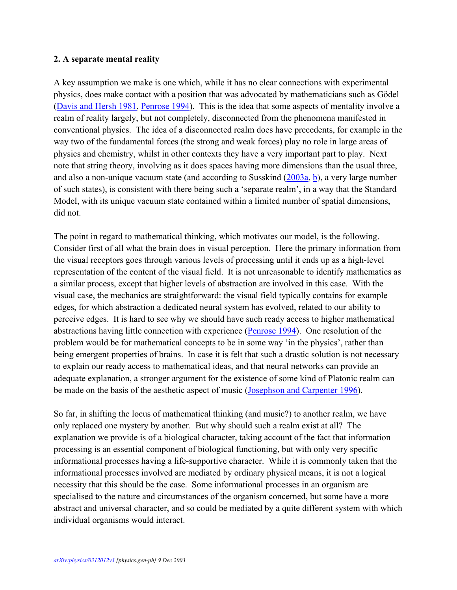#### **2. A separate mental reality**

A key assumption we make is one which, while it has no clear connections with experimental physics, does make contact with a position that was advocated by mathematicians such as Gödel [\(Davis and Hersh 1981,](#page-5-4) [Penrose 1994\)](#page-5-5). This is the idea that some aspects of mentality involve a realm of reality largely, but not completely, disconnected from the phenomena manifested in conventional physics. The idea of a disconnected realm does have precedents, for example in the way two of the fundamental forces (the strong and weak forces) play no role in large areas of physics and chemistry, whilst in other contexts they have a very important part to play. Next note that string theory, involving as it does spaces having more dimensions than the usual three, and also a non-unique vacuum state (and according to Susskind [\(2003a,](#page-5-6) [b\)](#page-5-7), a very large number of such states), is consistent with there being such a 'separate realm', in a way that the Standard Model, with its unique vacuum state contained within a limited number of spatial dimensions, did not.

The point in regard to mathematical thinking, which motivates our model, is the following. Consider first of all what the brain does in visual perception. Here the primary information from the visual receptors goes through various levels of processing until it ends up as a high-level representation of the content of the visual field. It is not unreasonable to identify mathematics as a similar process, except that higher levels of abstraction are involved in this case. With the visual case, the mechanics are straightforward: the visual field typically contains for example edges, for which abstraction a dedicated neural system has evolved, related to our ability to perceive edges. It is hard to see why we should have such ready access to higher mathematical abstractions having little connection with experience [\(Penrose 1994\)](#page-5-5). One resolution of the problem would be for mathematical concepts to be in some way 'in the physics', rather than being emergent properties of brains. In case it is felt that such a drastic solution is not necessary to explain our ready access to mathematical ideas, and that neural networks can provide an adequate explanation, a stronger argument for the existence of some kind of Platonic realm can be made on the basis of the aesthetic aspect of music [\(Josephson and Carpenter 1996\)](#page-5-8).

So far, in shifting the locus of mathematical thinking (and music?) to another realm, we have only replaced one mystery by another. But why should such a realm exist at all? The explanation we provide is of a biological character, taking account of the fact that information processing is an essential component of biological functioning, but with only very specific informational processes having a life-supportive character. While it is commonly taken that the informational processes involved are mediated by ordinary physical means, it is not a logical necessity that this should be the case. Some informational processes in an organism are specialised to the nature and circumstances of the organism concerned, but some have a more abstract and universal character, and so could be mediated by a quite different system with which individual organisms would interact.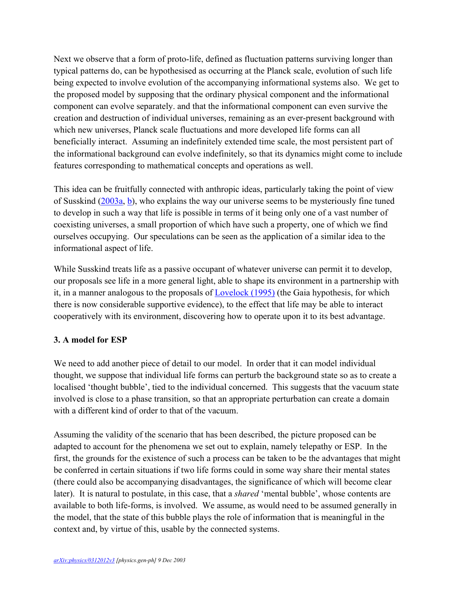Next we observe that a form of proto-life, defined as fluctuation patterns surviving longer than typical patterns do, can be hypothesised as occurring at the Planck scale, evolution of such life being expected to involve evolution of the accompanying informational systems also. We get to the proposed model by supposing that the ordinary physical component and the informational component can evolve separately. and that the informational component can even survive the creation and destruction of individual universes, remaining as an ever-present background with which new universes, Planck scale fluctuations and more developed life forms can all beneficially interact. Assuming an indefinitely extended time scale, the most persistent part of the informational background can evolve indefinitely, so that its dynamics might come to include features corresponding to mathematical concepts and operations as well.

This idea can be fruitfully connected with anthropic ideas, particularly taking the point of view of Susskind [\(2003a,](http://arXiv.org/html/physics/0312012v3/Users/bdj10/Documents/samueli.html#susskind1) [b\)](http://arXiv.org/html/physics/0312012v3/Users/bdj10/Documents/samueli.html#susskind2), who explains the way our universe seems to be mysteriously fine tuned to develop in such a way that life is possible in terms of it being only one of a vast number of coexisting universes, a small proportion of which have such a property, one of which we find ourselves occupying. Our speculations can be seen as the application of a similar idea to the informational aspect of life.

While Susskind treats life as a passive occupant of whatever universe can permit it to develop, our proposals see life in a more general light, able to shape its environment in a partnership with it, in a manner analogous to the proposals of [Lovelock \(1995\)](#page-5-9) (the Gaia hypothesis, for which there is now considerable supportive evidence), to the effect that life may be able to interact cooperatively with its environment, discovering how to operate upon it to its best advantage.

## **3. A model for ESP**

We need to add another piece of detail to our model. In order that it can model individual thought, we suppose that individual life forms can perturb the background state so as to create a localised 'thought bubble', tied to the individual concerned. This suggests that the vacuum state involved is close to a phase transition, so that an appropriate perturbation can create a domain with a different kind of order to that of the vacuum.

Assuming the validity of the scenario that has been described, the picture proposed can be adapted to account for the phenomena we set out to explain, namely telepathy or ESP. In the first, the grounds for the existence of such a process can be taken to be the advantages that might be conferred in certain situations if two life forms could in some way share their mental states (there could also be accompanying disadvantages, the significance of which will become clear later). It is natural to postulate, in this case, that a *shared* 'mental bubble', whose contents are available to both life-forms, is involved. We assume, as would need to be assumed generally in the model, that the state of this bubble plays the role of information that is meaningful in the context and, by virtue of this, usable by the connected systems.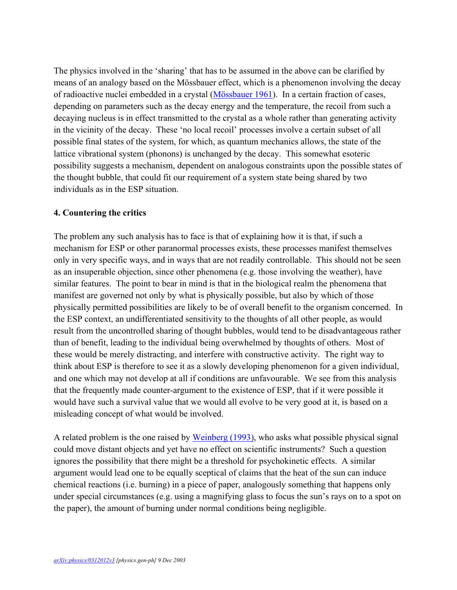The physics involved in the 'sharing' that has to be assumed in the above can be clarified by means of an analogy based on the Mössbauer effect, which is a phenomenon involving the decay of radioactive nuclei embedded in a crystal [\(Mössbauer 1961\)](#page-5-10). In a certain fraction of cases, depending on parameters such as the decay energy and the temperature, the recoil from such a decaying nucleus is in effect transmitted to the crystal as a whole rather than generating activity in the vicinity of the decay. These 'no local recoil' processes involve a certain subset of all possible final states of the system, for which, as quantum mechanics allows, the state of the lattice vibrational system (phonons) is unchanged by the decay. This somewhat esoteric possibility suggests a mechanism, dependent on analogous constraints upon the possible states of the thought bubble, that could fit our requirement of a system state being shared by two individuals as in the ESP situation.

#### **4. Countering the critics**

The problem any such analysis has to face is that of explaining how it is that, if such a mechanism for ESP or other paranormal processes exists, these processes manifest themselves only in very specific ways, and in ways that are not readily controllable. This should not be seen as an insuperable objection, since other phenomena (e.g. those involving the weather), have similar features. The point to bear in mind is that in the biological realm the phenomena that manifest are governed not only by what is physically possible, but also by which of those physically permitted possibilities are likely to be of overall benefit to the organism concerned. In the ESP context, an undifferentiated sensitivity to the thoughts of all other people, as would result from the uncontrolled sharing of thought bubbles, would tend to be disadvantageous rather than of benefit, leading to the individual being overwhelmed by thoughts of others. Most of these would be merely distracting, and interfere with constructive activity. The right way to think about ESP is therefore to see it as a slowly developing phenomenon for a given individual, and one which may not develop at all if conditions are unfavourable. We see from this analysis that the frequently made counter-argument to the existence of ESP, that if it were possible it would have such a survival value that we would all evolve to be very good at it, is based on a misleading concept of what would be involved.

A related problem is the one raised by [Weinberg \(1993\),](#page-5-11) who asks what possible physical signal could move distant objects and yet have no effect on scientific instruments? Such a question ignores the possibility that there might be a threshold for psychokinetic effects. A similar argument would lead one to be equally sceptical of claims that the heat of the sun can induce chemical reactions (i.e. burning) in a piece of paper, analogously something that happens only under special circumstances (e.g. using a magnifying glass to focus the sun's rays on to a spot on the paper), the amount of burning under normal conditions being negligible.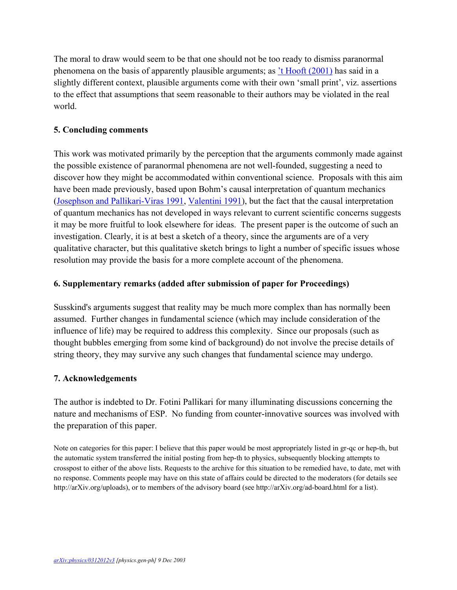The moral to draw would seem to be that one should not be too ready to dismiss paranormal phenomena on the basis of apparently plausible arguments; as ['t Hooft \(2001\)](#page-5-12) has said in a slightly different context, plausible arguments come with their own 'small print', viz. assertions to the effect that assumptions that seem reasonable to their authors may be violated in the real world.

## **5. Concluding comments**

This work was motivated primarily by the perception that the arguments commonly made against the possible existence of paranormal phenomena are not well-founded, suggesting a need to discover how they might be accommodated within conventional science. Proposals with this aim have been made previously, based upon Bohm's causal interpretation of quantum mechanics [\(Josephson and Pallikari-Viras 1991,](#page-5-13) [Valentini 1991\)](#page-5-14), but the fact that the causal interpretation of quantum mechanics has not developed in ways relevant to current scientific concerns suggests it may be more fruitful to look elsewhere for ideas. The present paper is the outcome of such an investigation. Clearly, it is at best a sketch of a theory, since the arguments are of a very qualitative character, but this qualitative sketch brings to light a number of specific issues whose resolution may provide the basis for a more complete account of the phenomena.

#### **6. Supplementary remarks (added after submission of paper for Proceedings)**

Susskind's arguments suggest that reality may be much more complex than has normally been assumed. Further changes in fundamental science (which may include consideration of the influence of life) may be required to address this complexity. Since our proposals (such as thought bubbles emerging from some kind of background) do not involve the precise details of string theory, they may survive any such changes that fundamental science may undergo.

#### **7. Acknowledgements**

The author is indebted to Dr. Fotini Pallikari for many illuminating discussions concerning the nature and mechanisms of ESP. No funding from counter-innovative sources was involved with the preparation of this paper.

Note on categories for this paper: I believe that this paper would be most appropriately listed in gr-qc or hep-th, but the automatic system transferred the initial posting from hep-th to physics, subsequently blocking attempts to crosspost to either of the above lists. Requests to the archive for this situation to be remedied have, to date, met with no response. Comments people may have on this state of affairs could be directed to the moderators (for details see http://arXiv.org/uploads), or to members of the advisory board (see http://arXiv.org/ad-board.html for a list).